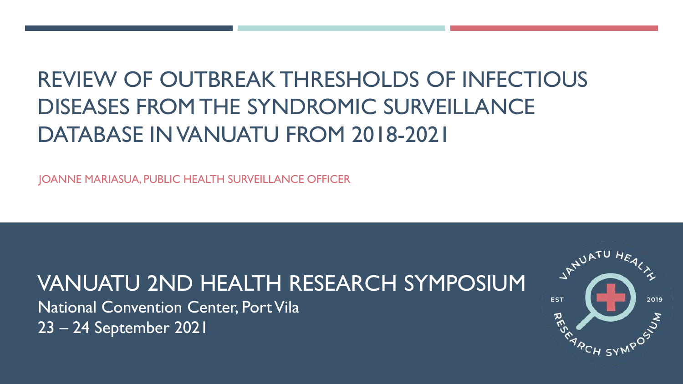# REVIEW OF OUTBREAK THRESHOLDS OF INFECTIOUS DISEASES FROM THE SYNDROMIC SURVEILLANCE DATABASE IN VANUATU FROM 2018-2021

JOANNE MARIASUA, PUBLIC HEALTH SURVEILLANCE OFFICER

## VANUATU 2ND HEALTH RESEARCH SYMPOSIUM

National Convention Center, Port Vila 23 – 24 September 2021

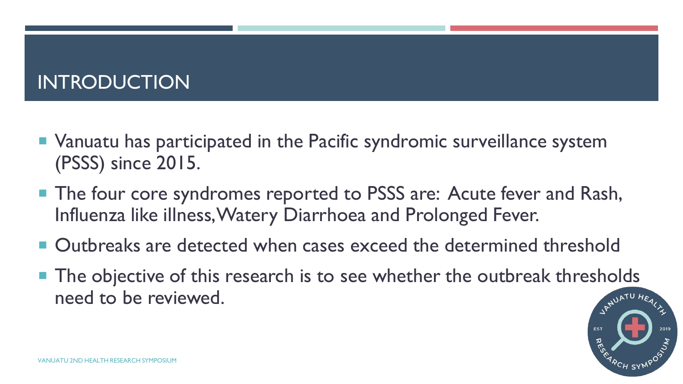## INTRODUCTION

- Vanuatu has participated in the Pacific syndromic surveillance system (PSSS) since 2015.
- **The four core syndromes reported to PSSS are: Acute fever and Rash,** Influenza like illness, Watery Diarrhoea and Prolonged Fever.
- Outbreaks are detected when cases exceed the determined threshold
- $\blacksquare$  The objective of this research is to see whether the outbreak thresholds need to be reviewed.

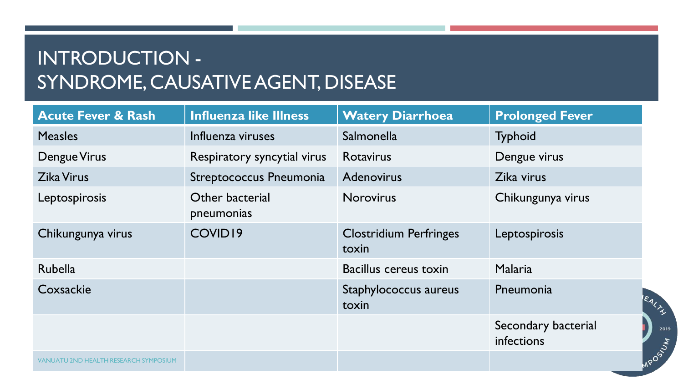## INTRODUCTION - SYNDROME, CAUSATIVE AGENT, DISEASE

| <b>Acute Fever &amp; Rash</b>                | <b>Influenza like Illness</b> | <b>Watery Diarrhoea</b>                | <b>Prolonged Fever</b>            |
|----------------------------------------------|-------------------------------|----------------------------------------|-----------------------------------|
| <b>Measles</b>                               | Influenza viruses             | <b>Salmonella</b>                      | <b>Typhoid</b>                    |
| Dengue Virus                                 | Respiratory syncytial virus   | <b>Rotavirus</b>                       | Dengue virus                      |
| <b>Zika Virus</b>                            | Streptococcus Pneumonia       | <b>Adenovirus</b>                      | Zika virus                        |
| Leptospirosis                                | Other bacterial<br>pneumonias | <b>Norovirus</b>                       | Chikungunya virus                 |
| Chikungunya virus                            | COVID19                       | <b>Clostridium Perfringes</b><br>toxin | Leptospirosis                     |
| <b>Rubella</b>                               |                               | Bacillus cereus toxin                  | Malaria                           |
| Coxsackie                                    |                               | Staphylococcus aureus<br>toxin         | Pneumonia<br>EALTS                |
|                                              |                               |                                        | Secondary bacterial<br>infections |
| <b>VANUATU 2ND HEALTH RESEARCH SYMPOSIUM</b> |                               |                                        | <b>MPOSITIVA</b>                  |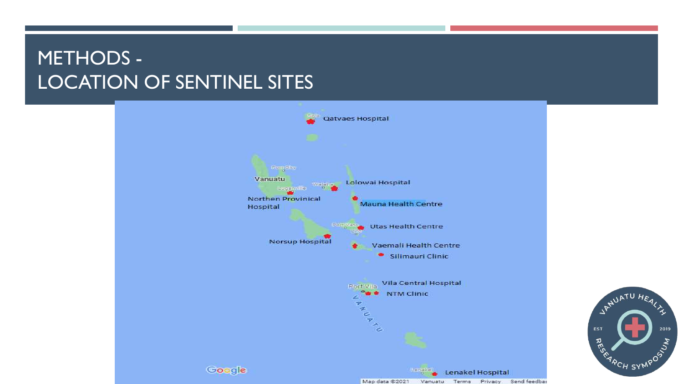## METHODS - LOCATION OF SENTINEL SITES



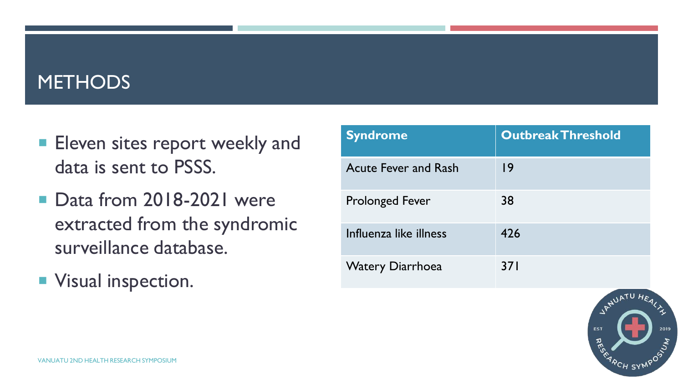#### **METHODS**

- **Eleven sites report weekly and** data is sent to PSSS.
- Data from 2018-2021 were extracted from the syndromic surveillance database.
- **Visual inspection.**

| Syndrome                    | <b>Outbreak Threshold</b> |
|-----------------------------|---------------------------|
| <b>Acute Fever and Rash</b> | 19                        |
| <b>Prolonged Fever</b>      | 38                        |
| Influenza like illness      | 426                       |
| <b>Watery Diarrhoea</b>     | 37 I                      |

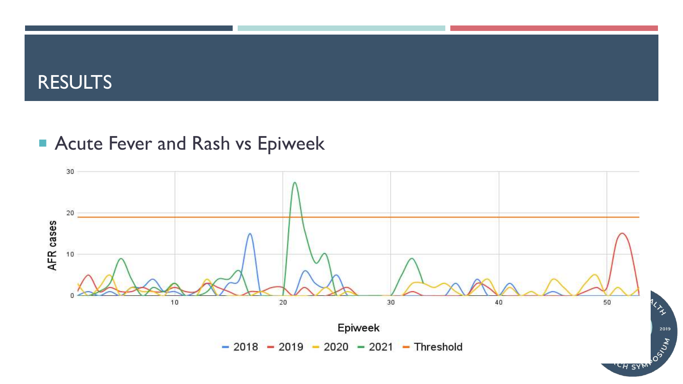## **Acute Fever and Rash vs Epiweek**

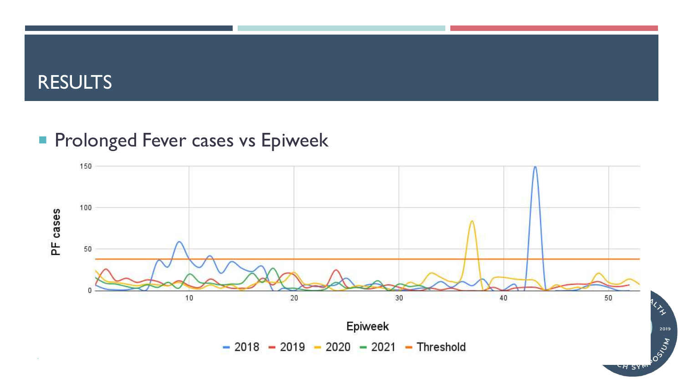#### **Prolonged Fever cases vs Epiweek**



-H SY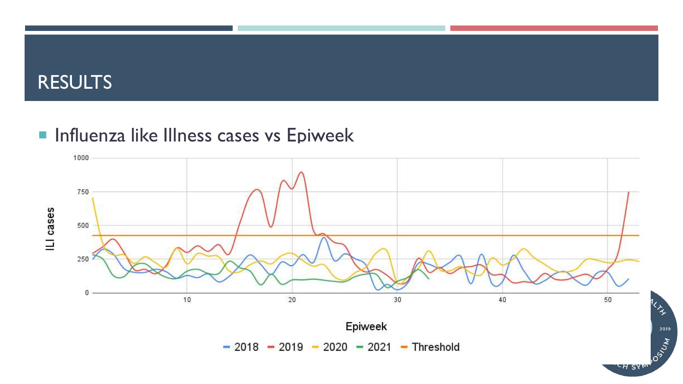## **Influenza like Illness cases vs Epiweek**



2019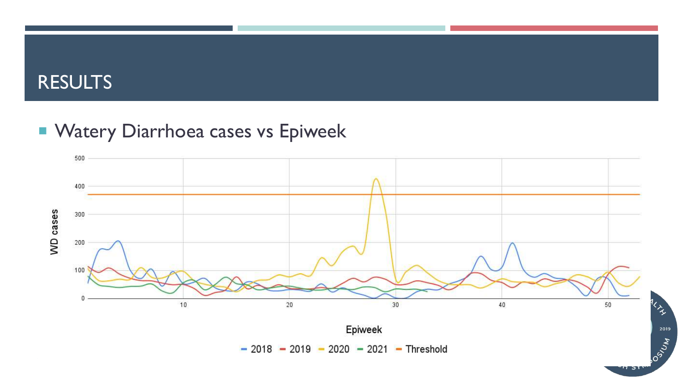## **NATELLET VE DEAL THEORY DEALLY CONCRETE VALUATE VERGINAL EXAMPLE VALUATE VERGINAL EXAMPLE VALUATE**

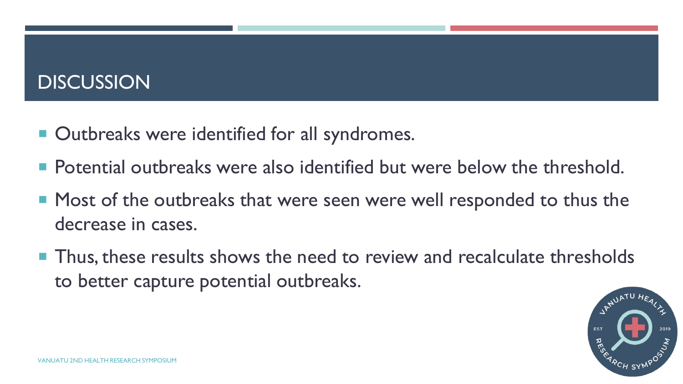## **DISCUSSION**

- Outbreaks were identified for all syndromes.
- **Potential outbreaks were also identified but were below the threshold.**
- Most of the outbreaks that were seen were well responded to thus the decrease in cases.
- Thus, these results shows the need to review and recalculate thresholds to better capture potential outbreaks.

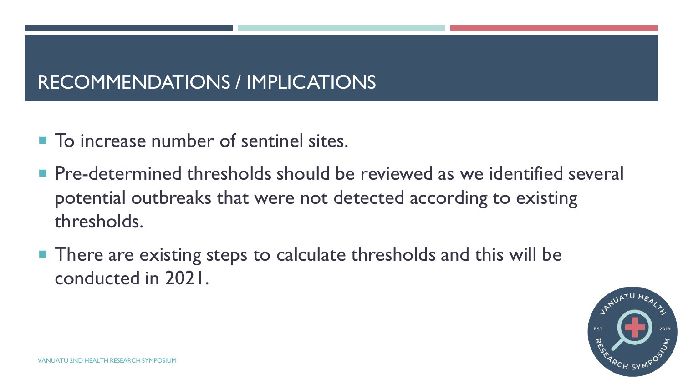## RECOMMENDATIONS / IMPLICATIONS

- **To increase number of sentinel sites.**
- **Pre-determined thresholds should be reviewed as we identified several** potential outbreaks that were not detected according to existing thresholds.
- There are existing steps to calculate thresholds and this will be conducted in 2021.